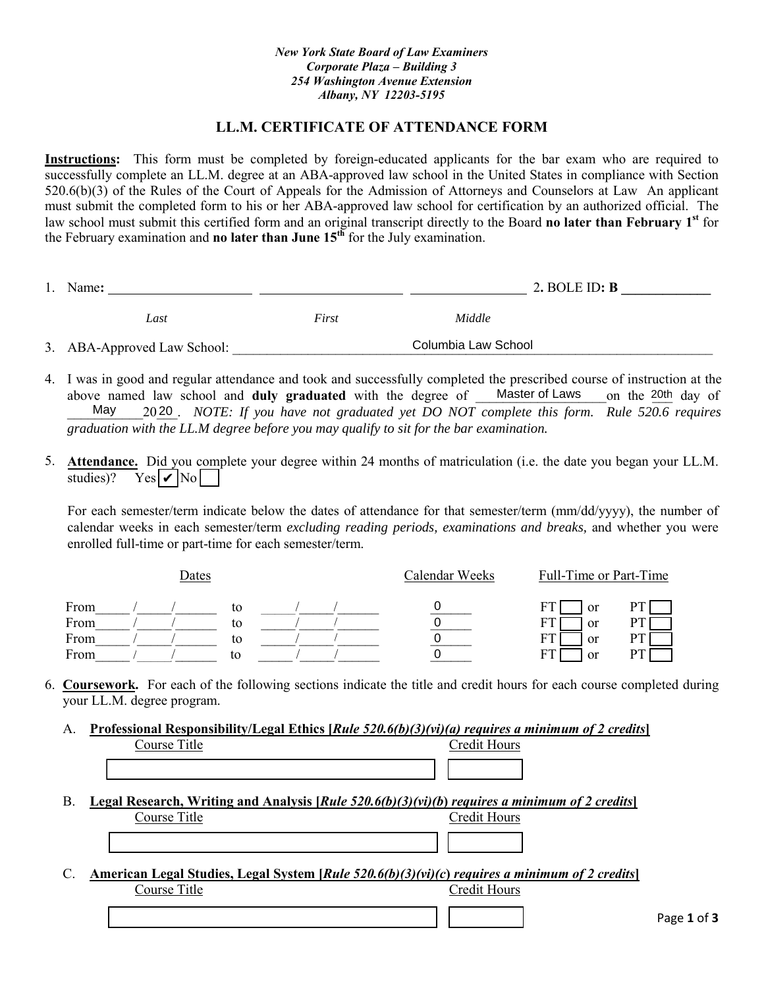## **LL.M. CERTIFICATE OF ATTENDANCE FORM**

**Instructions:** This form must be completed by foreign-educated applicants for the bar exam who are required to successfully complete an LL.M. degree at an ABA-approved law school in the United States in compliance with Section 520.6(b)(3) of the Rules of the Court of Appeals for the Admission of Attorneys and Counselors at Law An applicant must submit the completed form to his or her ABA-approved law school for certification by an authorized official. The law school must submit this certified form and an original transcript directly to the Board **no later than February 1st** for the February examination and **no later than June 15th** for the July examination.

| Name:                       |       | 2. BOLE ID: $\bf{B}$ |  |
|-----------------------------|-------|----------------------|--|
| Last                        | First | Middle               |  |
| 3. ABA-Approved Law School: |       | Columbia Law School  |  |

- 4. I was in good and regular attendance and took and successfully completed the prescribed course of instruction at the above named law school and **duly graduated** with the degree of Master of Laws on the 20th day of<br>May 2020 NOTE: If you have not graduated yet DO NOT complete this form Rule 520.6 requires \_\_\_\_\_\_\_\_\_\_\_20\_\_\_. *NOTE: If you have not graduated yet DO NOT complete this form. Rule 520.6 requires* May 20*graduation with the LL.M degree before you may qualify to sit for the bar examination.* Master of Laws
- 5. **Attendance.** Did you complete your degree within 24 months of matriculation (i.e. the date you began your LL.M. studies)? Yes  $|v|$  No

For each semester/term indicate below the dates of attendance for that semester/term (mm/dd/yyyy), the number of calendar weeks in each semester/term *excluding reading periods, examinations and breaks,* and whether you were enrolled full-time or part-time for each semester/term.

|      | Dates |    |  | Calendar Weeks | Full-Time or Part-Time |  |
|------|-------|----|--|----------------|------------------------|--|
| From |       | to |  |                | <sub>or</sub><br>F.    |  |
| From |       | to |  |                | <sub>or</sub>          |  |
| From |       | to |  |                | FТ<br>or               |  |
| From |       | to |  |                | F٦<br>or               |  |

- 6. **Coursework.** For each of the following sections indicate the title and credit hours for each course completed during your LL.M. degree program.
	- A. **Professional Responsibility/Legal Ethics [***Rule 520.6(b)(3)(vi)(a) requires a minimum of 2 credits***]** Course Title Course Title Credit Hours
	- B. **Legal Research, Writing and Analysis [***Rule 520.6(b)(3)(vi)(b***)** *requires a minimum of 2 credits***]** Course Title Course Title
	- C. **American Legal Studies, Legal System [***Rule 520.6(b)(3)(vi)(c***)** *requires a minimum of 2 credits***]** Course Title Credit Hours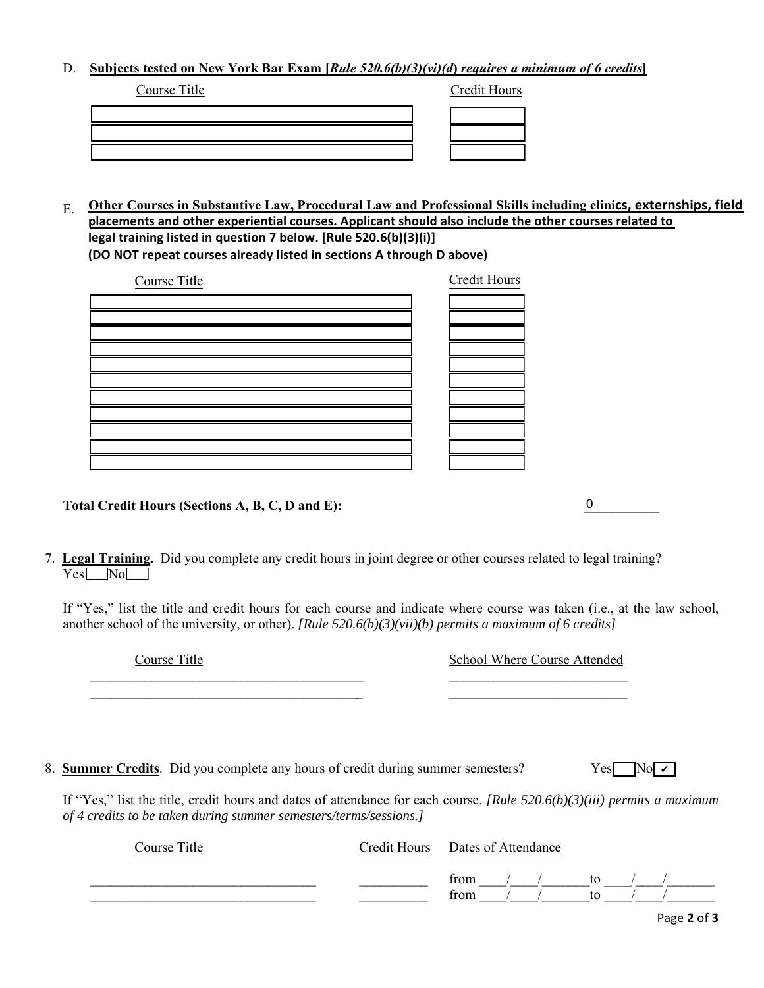## D. **Subjects tested on New York Bar Exam [***Rule 520.6(b)(3)(vi)(d***)** *requires a minimum of 6 credits***]**

| Course Title | Credit Hours |
|--------------|--------------|
|              |              |
|              |              |
|              |              |

E. **Other Courses in Substantive Law, Procedural Law and Professional Skills including clinics, externships, field placements and other experiential courses. Applicant should also include the other courses related to legal training listed in question 7 below. [Rule 520.6(b)(3)(i)] (DO NOT repeat courses already listed in sections A through D above)**

| Course Title | Credit Hours |
|--------------|--------------|
|              |              |
|              |              |
|              |              |
|              |              |
|              |              |
|              |              |
|              |              |
|              |              |
|              |              |
|              |              |
|              |              |

Total Credit Hours (Sections A, B, C, D and E):

|                                    | 7. Legal Training. Did you complete any credit hours in joint degree or other courses related to legal training? |  |
|------------------------------------|------------------------------------------------------------------------------------------------------------------|--|
| $Yes \blacksquare No \blacksquare$ |                                                                                                                  |  |

 $\mathcal{L}_\text{max}$  , and the contract of the contract of the contract of the contract of the contract of the contract of \_\_\_\_\_\_\_\_\_\_\_\_\_\_\_\_\_\_\_\_\_\_\_\_\_\_\_\_\_\_\_\_\_\_\_\_\_\_\_\_ \_\_\_\_\_\_\_\_\_\_\_\_\_\_\_\_\_\_\_\_\_\_\_\_\_\_

If "Yes," list the title and credit hours for each course and indicate where course was taken (i.e., at the law school, another school of the university, or other). *[Rule 520.6(b)(3)(vii)(b) permits a maximum of 6 credits]*

Course Title

| <b>School Where Course Attended</b> |  |  |  |  |
|-------------------------------------|--|--|--|--|
|-------------------------------------|--|--|--|--|

 $\overline{0}$ 

8. **Summer Credits**. Did you complete any hours of credit during summer semesters?

If "Yes," list the title, credit hours and dates of attendance for each course. *[Rule 520.6(b)(3)(iii) permits a maximum of 4 credits to be taken during summer semesters/terms/sessions.]*

| Course Title | Credit Hours Dates of Attendance |    |  |
|--------------|----------------------------------|----|--|
|              | from                             | tο |  |
|              | from                             |    |  |

 $Yes \Box No \Box$